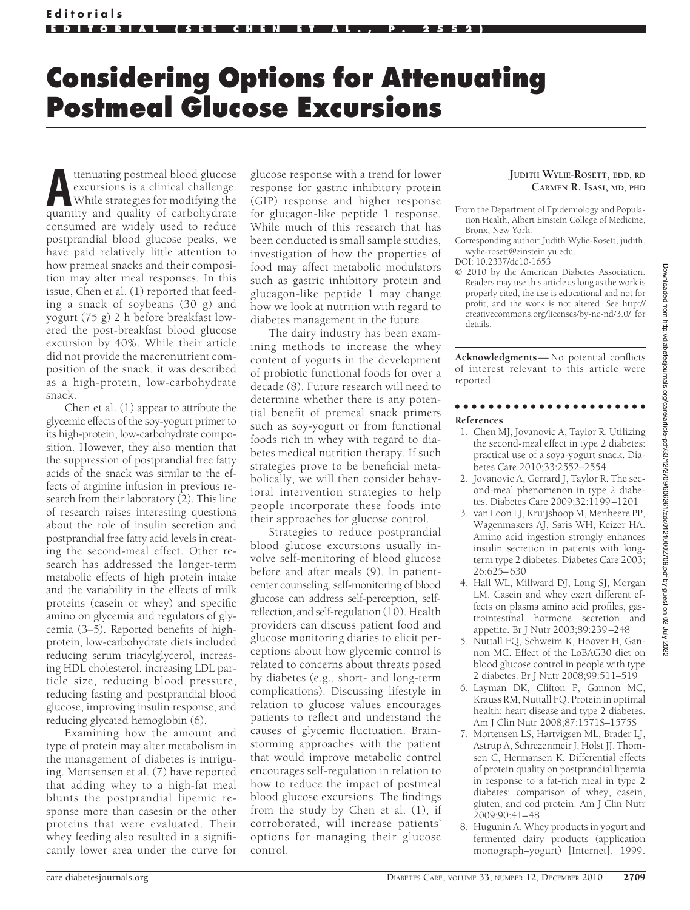## **Considering Options for Attenuating Postmeal Glucose Excursions**

**A**ttenuating postmeal blood glucose excursions is a clinical challenge. While strategies for modifying the quantity and quality of carbohydrate consumed are widely used to reduce postprandial blood glucose peaks, we have paid relatively little attention to how premeal snacks and their composition may alter meal responses. In this issue, Chen et al. (1) reported that feeding a snack of soybeans (30 g) and yogurt (75 g) 2 h before breakfast lowered the post-breakfast blood glucose excursion by 40%. While their article did not provide the macronutrient composition of the snack, it was described as a high-protein, low-carbohydrate snack.

Chen et al. (1) appear to attribute the glycemic effects of the soy-yogurt primer to its high-protein, low-carbohydrate composition. However, they also mention that the suppression of postprandial free fatty acids of the snack was similar to the effects of arginine infusion in previous research from their laboratory (2). This line of research raises interesting questions about the role of insulin secretion and postprandial free fatty acid levels in creating the second-meal effect. Other research has addressed the longer-term metabolic effects of high protein intake and the variability in the effects of milk proteins (casein or whey) and specific amino on glycemia and regulators of glycemia (3–5). Reported benefits of highprotein, low-carbohydrate diets included reducing serum triacylglycerol, increasing HDL cholesterol, increasing LDL particle size, reducing blood pressure, reducing fasting and postprandial blood glucose, improving insulin response, and reducing glycated hemoglobin (6).

Examining how the amount and type of protein may alter metabolism in the management of diabetes is intriguing. Mortsensen et al. (7) have reported that adding whey to a high-fat meal blunts the postprandial lipemic response more than casesin or the other proteins that were evaluated. Their whey feeding also resulted in a significantly lower area under the curve for

glucose response with a trend for lower response for gastric inhibitory protein (GIP) response and higher response for glucagon-like peptide 1 response. While much of this research that has been conducted is small sample studies, investigation of how the properties of food may affect metabolic modulators such as gastric inhibitory protein and glucagon-like peptide 1 may change how we look at nutrition with regard to diabetes management in the future.

The dairy industry has been examining methods to increase the whey content of yogurts in the development of probiotic functional foods for over a decade (8). Future research will need to determine whether there is any potential benefit of premeal snack primers such as soy-yogurt or from functional foods rich in whey with regard to diabetes medical nutrition therapy. If such strategies prove to be beneficial metabolically, we will then consider behavioral intervention strategies to help people incorporate these foods into their approaches for glucose control.

Strategies to reduce postprandial blood glucose excursions usually involve self-monitoring of blood glucose before and after meals (9). In patientcenter counseling, self-monitoring of blood glucose can address self-perception, selfreflection, and self-regulation (10). Health providers can discuss patient food and glucose monitoring diaries to elicit perceptions about how glycemic control is related to concerns about threats posed by diabetes (e.g., short- and long-term complications). Discussing lifestyle in relation to glucose values encourages patients to reflect and understand the causes of glycemic fluctuation. Brainstorming approaches with the patient that would improve metabolic control encourages self-regulation in relation to how to reduce the impact of postmeal blood glucose excursions. The findings from the study by Chen et al. (1), if corroborated, will increase patients' options for managing their glucose control.

## **JUDITH WYLIE-ROSETT, EDD, RD CARMEN R. ISASI, MD, PHD**

© 2010 by the American Diabetes Association. Readers may use this article as long as the work is properly cited, the use is educational and not for profit, and the work is not altered. See http:// creativecommons.org/licenses/by-nc-nd/3.0/ for details.

**Acknowledgments**— No potential conflicts of interest relevant to this article were reported.

## ●●●●●●●●●●●●●●●●●●●●●●● **References**

- 1. Chen MJ, Jovanovic A, Taylor R. Utilizing the second-meal effect in type 2 diabetes: practical use of a soya-yogurt snack. Diabetes Care 2010;33:2552–2554
- 2. Jovanovic A, Gerrard J, Taylor R. The second-meal phenomenon in type 2 diabetes. Diabetes Care 2009;32:1199 –1201
- 3. van Loon LJ, Kruijshoop M, Menheere PP, Wagenmakers AJ, Saris WH, Keizer HA. Amino acid ingestion strongly enhances insulin secretion in patients with longterm type 2 diabetes. Diabetes Care 2003; 26:625– 630
- 4. Hall WL, Millward DJ, Long SJ, Morgan LM. Casein and whey exert different effects on plasma amino acid profiles, gastrointestinal hormone secretion and appetite. Br J Nutr 2003;89:239 –248
- 5. Nuttall FQ, Schweim K, Hoover H, Gannon MC. Effect of the LoBAG30 diet on blood glucose control in people with type 2 diabetes. Br J Nutr 2008;99:511–519
- 6. Layman DK, Clifton P, Gannon MC, Krauss RM, Nuttall FQ. Protein in optimal health: heart disease and type 2 diabetes. Am J Clin Nutr 2008;87:1571S–1575S
- 7. Mortensen LS, Hartvigsen ML, Brader LJ, Astrup A, Schrezenmeir J, Holst JJ, Thomsen C, Hermansen K. Differential effects of protein quality on postprandial lipemia in response to a fat-rich meal in type 2 diabetes: comparison of whey, casein, gluten, and cod protein. Am J Clin Nutr 2009;90:41– 48
- 8. Hugunin A. Whey products in yogurt and fermented dairy products (application monograph–yogurt) [Internet], 1999.

From the Department of Epidemiology and Population Health, Albert Einstein College of Medicine, Bronx, New York.

Corresponding author: Judith Wylie-Rosett, judith. wylie-rosett@einstein.yu.edu.

DOI: 10.2337/dc10-1653